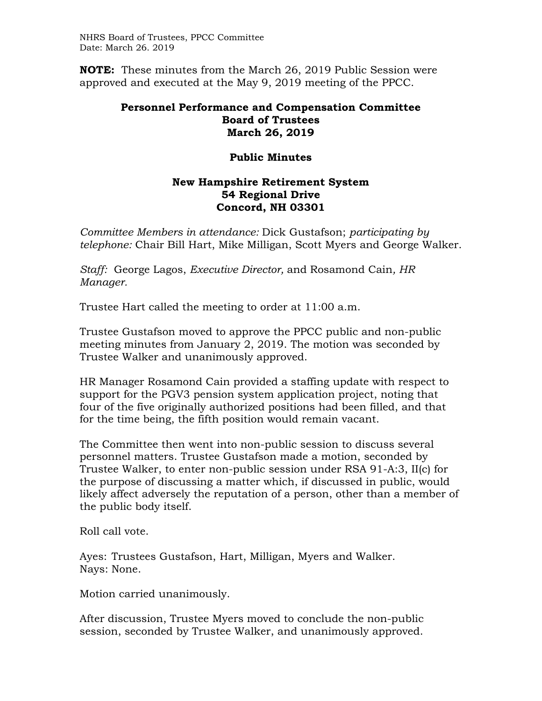NHRS Board of Trustees, PPCC Committee Date: March 26. 2019

**NOTE:** These minutes from the March 26, 2019 Public Session were approved and executed at the May 9, 2019 meeting of the PPCC.

## **Personnel Performance and Compensation Committee Board of Trustees March 26, 2019**

## **Public Minutes**

## **New Hampshire Retirement System 54 Regional Drive Concord, NH 03301**

*Committee Members in attendance:* Dick Gustafson; *participating by telephone:* Chair Bill Hart, Mike Milligan, Scott Myers and George Walker.

*Staff:* George Lagos, *Executive Director,* and Rosamond Cain*, HR Manager.* 

Trustee Hart called the meeting to order at 11:00 a.m.

Trustee Gustafson moved to approve the PPCC public and non-public meeting minutes from January 2, 2019. The motion was seconded by Trustee Walker and unanimously approved.

HR Manager Rosamond Cain provided a staffing update with respect to support for the PGV3 pension system application project, noting that four of the five originally authorized positions had been filled, and that for the time being, the fifth position would remain vacant.

The Committee then went into non-public session to discuss several personnel matters. Trustee Gustafson made a motion, seconded by Trustee Walker, to enter non-public session under RSA 91-A:3, II(c) for the purpose of discussing a matter which, if discussed in public, would likely affect adversely the reputation of a person, other than a member of the public body itself.

Roll call vote.

Ayes: Trustees Gustafson, Hart, Milligan, Myers and Walker. Nays: None.

Motion carried unanimously.

After discussion, Trustee Myers moved to conclude the non-public session, seconded by Trustee Walker, and unanimously approved.